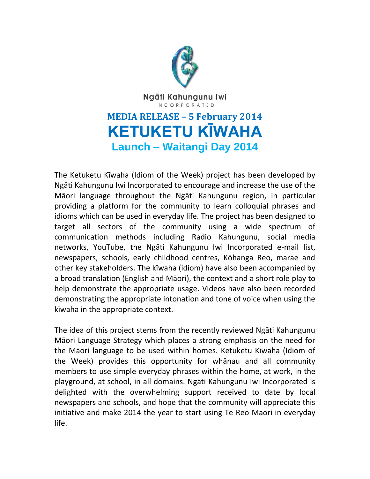

Ngāti Kahungunu Iwi **INCORPORATED** 

## **MEDIA RELEASE – 5 February 2014 KETUKETU KĪWAHA Launch – Waitangi Day 2014**

The Ketuketu Kīwaha (Idiom of the Week) project has been developed by Ngāti Kahungunu Iwi Incorporated to encourage and increase the use of the Māori language throughout the Ngāti Kahungunu region, in particular providing a platform for the community to learn colloquial phrases and idioms which can be used in everyday life. The project has been designed to target all sectors of the community using a wide spectrum of communication methods including Radio Kahungunu, social media networks, YouTube, the Ngāti Kahungunu Iwi Incorporated e-mail list, newspapers, schools, early childhood centres, Kōhanga Reo, marae and other key stakeholders. The kīwaha (idiom) have also been accompanied by a broad translation (English and Māori), the context and a short role play to help demonstrate the appropriate usage. Videos have also been recorded demonstrating the appropriate intonation and tone of voice when using the kīwaha in the appropriate context.

The idea of this project stems from the recently reviewed Ngāti Kahungunu Māori Language Strategy which places a strong emphasis on the need for the Māori language to be used within homes. Ketuketu Kīwaha (Idiom of the Week) provides this opportunity for whānau and all community members to use simple everyday phrases within the home, at work, in the playground, at school, in all domains. Ngāti Kahungunu Iwi Incorporated is delighted with the overwhelming support received to date by local newspapers and schools, and hope that the community will appreciate this initiative and make 2014 the year to start using Te Reo Māori in everyday life.